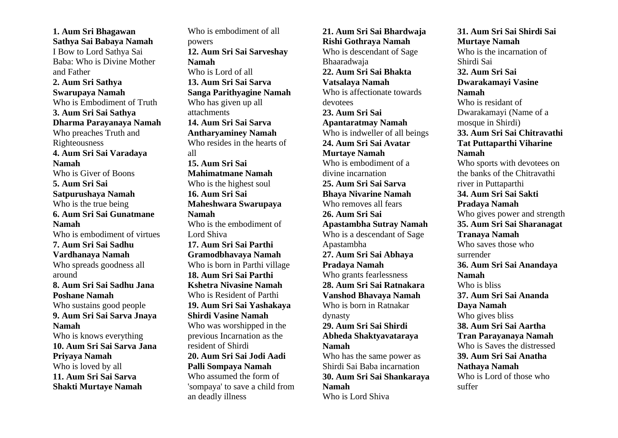**1. Aum Sri Bhagawan Sathya Sai Babaya Namah** I Bow to Lord Sathya Sai Baba: Who is Divine Mother and Father **2. Aum Sri Sathya Swarupaya Namah** Who is Embodiment of Truth **3. Aum Sri Sai Sathya Dharma Parayanaya Namah** Who preaches Truth and Righteousness **4. Aum Sri Sai Varadaya Namah** Who is Giver of Boons **5. Aum Sri Sai Satpurushaya Namah** Who is the true being **6. Aum Sri Sai Gunatmane Namah** Who is embodiment of virtues **7. Aum Sri Sai Sadhu Vardhanaya Namah** Who spreads goodness all around **8. Aum Sri Sai Sadhu Jana Poshane Namah** Who sustains good people **9. Aum Sri Sai Sarva Jnaya Namah** Who is knows everything **10. Aum Sri Sai Sarva Jana Priyaya Namah** Who is loved by all **11. Aum Sri Sai Sarva Shakti Murtaye Namah**

Who is embodiment of all powers **12. Aum Sri Sai Sarveshay Namah** Who is Lord of all **13. Aum Sri Sai Sarva Sanga Parithyagine Namah** Who has given up all attachments **14. Aum Sri Sai Sarva Antharyaminey Namah** Who resides in the hearts of all **15. Aum Sri Sai Mahimatmane Namah** Who is the highest soul **16. Aum Sri Sai Maheshwara Swarupaya Namah** Who is the embodiment of Lord Shiva **17. Aum Sri Sai Parthi Gramodbhavaya Namah** Who is born in Parthi village **18. Aum Sri Sai Parthi Kshetra Nivasine Namah** Who is Resident of Parthi **19. Aum Sri Sai Yashakaya Shirdi Vasine Namah** Who was worshipped in the previous Incarnation as the resident of Shirdi **20. Aum Sri Sai Jodi Aadi Palli Sompaya Namah** Who assumed the form of 'sompaya' to save a child from an deadly illness

**21. Aum Sri Sai Bhardwaja Rishi Gothraya Namah** Who is descendant of Sage Bhaaradwaja **22. Aum Sri Sai Bhakta Vatsalaya Namah** Who is affectionate towards devotees **23. Aum Sri Sai Apantaratmay Namah** Who is indweller of all beings **24. Aum Sri Sai Avatar Murtaye Namah** Who is embodiment of a divine incarnation **25. Aum Sri Sai Sarva Bhaya Nivarine Namah** Who removes all fears **26. Aum Sri Sai Apastambha Sutray Namah** Who is a descendant of Sage Apastambha **27. Aum Sri Sai Abhaya Pradaya Namah** Who grants fearlessness **28. Aum Sri Sai Ratnakara Vanshod Bhavaya Namah** Who is born in Ratnakar dynasty **29. Aum Sri Sai Shirdi Abheda Shaktyavataraya Namah** Who has the same power as Shirdi Sai Baba incarnation **30. Aum Sri Sai Shankaraya Namah** Who is Lord Shiva

**31. Aum Sri Sai Shirdi Sai Murtaye Namah** Who is the incarnation of Shirdi Sai **32. Aum Sri Sai Dwarakamayi Vasine Namah** Who is residant of Dwarakamayi (Name of a mosque in Shirdi) **33. Aum Sri Sai Chitravathi Tat Puttaparthi Viharine Namah** Who sports with devotees on the banks of the Chitravathi river in Puttaparthi **34. Aum Sri Sai Sakti Pradaya Namah** Who gives power and strength **35. Aum Sri Sai Sharanagat Tranaya Namah** Who saves those who surrender **36. Aum Sri Sai Anandaya Namah** Who is bliss **37. Aum Sri Sai Ananda Daya Namah** Who gives bliss **38. Aum Sri Sai Aartha Tran Parayanaya Namah** Who is Saves the distressed **39. Aum Sri Sai Anatha Nathaya Namah** Who is Lord of those who suffer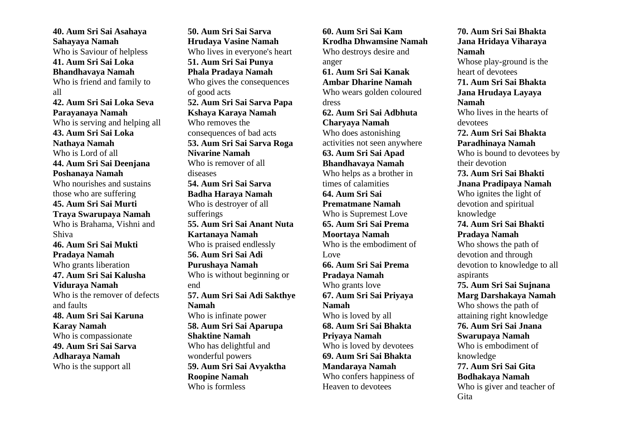**40. Aum Sri Sai Asahaya Sahayaya Namah** Who is Saviour of helpless **41. Aum Sri Sai Loka Bhandhavaya Namah** Who is friend and family to all **42. Aum Sri Sai Loka Seva Parayanaya Namah** Who is serving and helping all **43. Aum Sri Sai Loka Nathaya Namah** Who is Lord of all **44. Aum Sri Sai Deenjana Poshanaya Namah** Who nourishes and sustains those who are suffering **45. Aum Sri Sai Murti Traya Swarupaya Namah** Who is Brahama, Vishni and Shiva **46. Aum Sri Sai Mukti Pradaya Namah** Who grants liberation **47. Aum Sri Sai Kalusha Viduraya Namah** Who is the remover of defects and faults **48. Aum Sri Sai Karuna Karay Namah** Who is compassionate **49. Aum Sri Sai Sarva Adharaya Namah** Who is the support all

**50. Aum Sri Sai Sarva Hrudaya Vasine Namah** Who lives in everyone's heart **51. Aum Sri Sai Punya Phala Pradaya Namah** Who gives the consequences of good acts **52. Aum Sri Sai Sarva Papa Kshaya Karaya Namah** Who removes the consequences of bad acts **53. Aum Sri Sai Sarva Roga Nivarine Namah** Who is remover of all diseases **54. Aum Sri Sai Sarva Badha Haraya Namah** Who is destroyer of all sufferings **55. Aum Sri Sai Anant Nuta Kartanaya Namah**  Who is praised endlessly **56. Aum Sri Sai Adi Purushaya Namah** Who is without beginning or end **57. Aum Sri Sai Adi Sakthye Namah** Who is infinate power **58. Aum Sri Sai Aparupa Shaktine Namah** Who has delightful and wonderful powers **59. Aum Sri Sai Avyaktha Roopine Namah** Who is formless

**60. Aum Sri Sai Kam Krodha Dhwamsine Namah** Who destroys desire and anger **61. Aum Sri Sai Kanak Ambar Dharine Namah** Who wears golden coloured dress **62. Aum Sri Sai Adbhuta Charyaya Namah** Who does astonishing activities not seen anywhere **63. Aum Sri Sai Apad Bhandhavaya Namah** Who helps as a brother in times of calamities **64. Aum Sri Sai Prematmane Namah** Who is Supremest Love **65. Aum Sri Sai Prema Moortaya Namah** Who is the embodiment of Love **66. Aum Sri Sai Prema Pradaya Namah** Who grants love **67. Aum Sri Sai Priyaya Namah** Who is loved by all **68. Aum Sri Sai Bhakta Priyaya Namah** Who is loved by devotees **69. Aum Sri Sai Bhakta Mandaraya Namah** Who confers happiness of Heaven to devotees

**70. Aum Sri Sai Bhakta Jana Hridaya Viharaya Namah** Whose play-ground is the heart of devotees **71. Aum Sri Sai Bhakta Jana Hrudaya Layaya Namah** Who lives in the hearts of devotees **72. Aum Sri Sai Bhakta Paradhinaya Namah** Who is bound to devotees by their devotion **73. Aum Sri Sai Bhakti Jnana Pradipaya Namah** Who ignites the light of devotion and spiritual knowledge **74. Aum Sri Sai Bhakti Pradaya Namah** Who shows the path of devotion and through devotion to knowledge to all aspirants **75. Aum Sri Sai Sujnana Marg Darshakaya Namah** Who shows the path of attaining right knowledge **76. Aum Sri Sai Jnana Swarupaya Namah** Who is embodiment of knowledge **77. Aum Sri Sai Gita Bodhakaya Namah** Who is giver and teacher of Gita